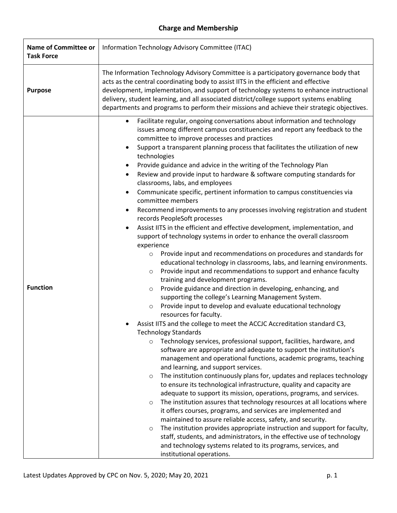## **Charge and Membership**

| <b>Name of Committee or</b><br><b>Task Force</b> | Information Technology Advisory Committee (ITAC)                                                                                                                                                                                                                                                                                                                                                                                                                                                                                                                                                                                                                                                                                                                                                                                                                                                                                                                                                                                                                                                                                                                                                                                                                                                                                                                                                                                                                                                                                                                                                                                                                                                                                                                                                                                                                                                                                                                                                                                                                                                                                                                                                                                                                                                                                                                                                                                                                                                                                                                                            |
|--------------------------------------------------|---------------------------------------------------------------------------------------------------------------------------------------------------------------------------------------------------------------------------------------------------------------------------------------------------------------------------------------------------------------------------------------------------------------------------------------------------------------------------------------------------------------------------------------------------------------------------------------------------------------------------------------------------------------------------------------------------------------------------------------------------------------------------------------------------------------------------------------------------------------------------------------------------------------------------------------------------------------------------------------------------------------------------------------------------------------------------------------------------------------------------------------------------------------------------------------------------------------------------------------------------------------------------------------------------------------------------------------------------------------------------------------------------------------------------------------------------------------------------------------------------------------------------------------------------------------------------------------------------------------------------------------------------------------------------------------------------------------------------------------------------------------------------------------------------------------------------------------------------------------------------------------------------------------------------------------------------------------------------------------------------------------------------------------------------------------------------------------------------------------------------------------------------------------------------------------------------------------------------------------------------------------------------------------------------------------------------------------------------------------------------------------------------------------------------------------------------------------------------------------------------------------------------------------------------------------------------------------------|
| <b>Purpose</b>                                   | The Information Technology Advisory Committee is a participatory governance body that<br>acts as the central coordinating body to assist IITS in the efficient and effective<br>development, implementation, and support of technology systems to enhance instructional<br>delivery, student learning, and all associated district/college support systems enabling<br>departments and programs to perform their missions and achieve their strategic objectives.                                                                                                                                                                                                                                                                                                                                                                                                                                                                                                                                                                                                                                                                                                                                                                                                                                                                                                                                                                                                                                                                                                                                                                                                                                                                                                                                                                                                                                                                                                                                                                                                                                                                                                                                                                                                                                                                                                                                                                                                                                                                                                                           |
| <b>Function</b>                                  | Facilitate regular, ongoing conversations about information and technology<br>$\bullet$<br>issues among different campus constituencies and report any feedback to the<br>committee to improve processes and practices<br>Support a transparent planning process that facilitates the utilization of new<br>$\bullet$<br>technologies<br>Provide guidance and advice in the writing of the Technology Plan<br>Review and provide input to hardware & software computing standards for<br>$\bullet$<br>classrooms, labs, and employees<br>Communicate specific, pertinent information to campus constituencies via<br>$\bullet$<br>committee members<br>Recommend improvements to any processes involving registration and student<br>$\bullet$<br>records PeopleSoft processes<br>Assist IITS in the efficient and effective development, implementation, and<br>support of technology systems in order to enhance the overall classroom<br>experience<br>Provide input and recommendations on procedures and standards for<br>$\circ$<br>educational technology in classrooms, labs, and learning environments.<br>Provide input and recommendations to support and enhance faculty<br>$\circ$<br>training and development programs.<br>Provide guidance and direction in developing, enhancing, and<br>$\circ$<br>supporting the college's Learning Management System.<br>Provide input to develop and evaluate educational technology<br>$\circ$<br>resources for faculty.<br>Assist IITS and the college to meet the ACCJC Accreditation standard C3,<br><b>Technology Standards</b><br>Technology services, professional support, facilities, hardware, and<br>$\circ$<br>software are appropriate and adequate to support the institution's<br>management and operational functions, academic programs, teaching<br>and learning, and support services.<br>The institution continuously plans for, updates and replaces technology<br>$\circ$<br>to ensure its technological infrastructure, quality and capacity are<br>adequate to support its mission, operations, programs, and services.<br>The institution assures that technology resources at all locations where<br>$\circ$<br>it offers courses, programs, and services are implemented and<br>maintained to assure reliable access, safety, and security.<br>The institution provides appropriate instruction and support for faculty,<br>$\circ$<br>staff, students, and administrators, in the effective use of technology<br>and technology systems related to its programs, services, and<br>institutional operations. |